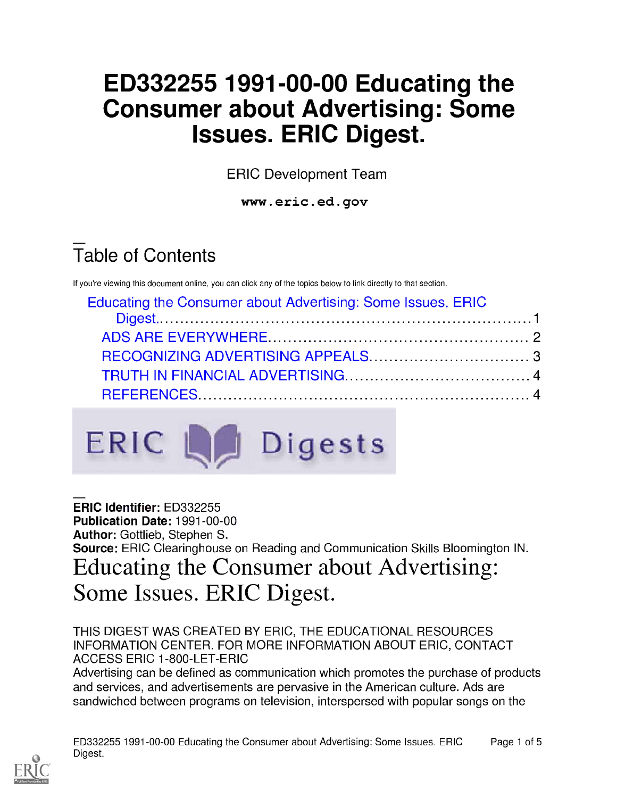# ED332255 1991-00-00 Educating the Consumer about Advertising: Some Issues. ERIC Digest.

ERIC Development Team

www.eric.ed.gov

# Table of Contents

If you're viewing this document online, you can click any of the topics below to link directly to that section.

| Educating the Consumer about Advertising: Some Issues. ERIC |  |
|-------------------------------------------------------------|--|
|                                                             |  |
|                                                             |  |
|                                                             |  |
|                                                             |  |
|                                                             |  |



ERIC Identifier: ED332255 Publication Date: 1991-00-00 Author: Gottlieb, Stephen S. Source: ERIC Clearinghouse on Reading and Communication Skills Bloomington IN. Educating the Consumer about Advertising: Some Issues. ERIC Digest.

THIS DIGEST WAS CREATED BY ERIC, THE EDUCATIONAL RESOURCES INFORMATION CENTER. FOR MORE INFORMATION ABOUT ERIC, CONTACT ACCESS ERIC 1-800-LET-ERIC

Advertising can be defined as communication which promotes the purchase of products and services, and advertisements are pervasive in the American culture. Ads are sandwiched between programs on television, interspersed with popular songs on the

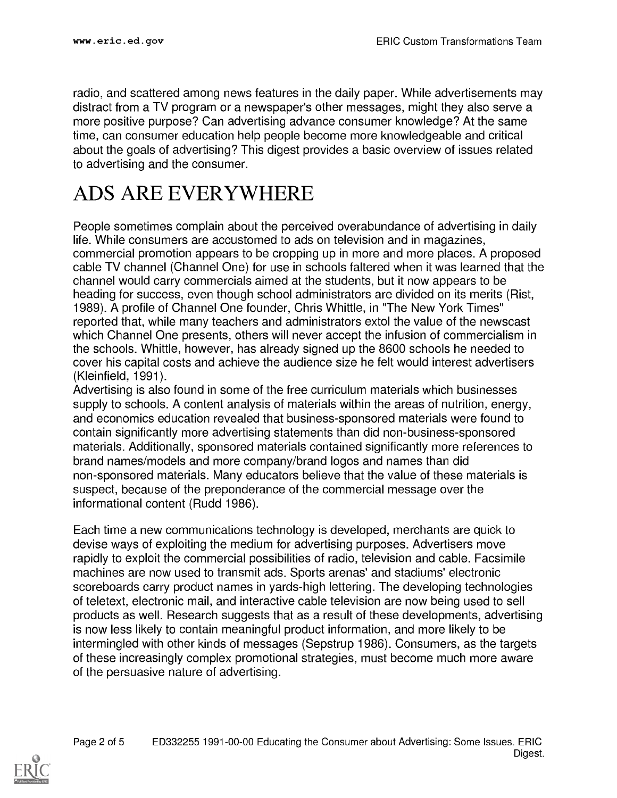radio, and scattered among news features in the daily paper. While advertisements may distract from a TV program or a newspaper's other messages, might they also serve a more positive purpose? Can advertising advance consumer knowledge? At the same time, can consumer education help people become more knowledgeable and critical about the goals of advertising? This digest provides a basic overview of issues related to advertising and the consumer.

#### ADS ARE EVERYWHERE

People sometimes complain about the perceived overabundance of advertising in daily life. While consumers are accustomed to ads on television and in magazines, commercial promotion appears to be cropping up in more and more places. A proposed cable TV channel (Channel One) for use in schools faltered when it was learned that the channel would carry commercials aimed at the students, but it now appears to be heading for success, even though school administrators are divided on its merits (Rist, 1989). A profile of Channel One founder, Chris Whittle, in "The New York Times" reported that, while many teachers and administrators extol the value of the newscast which Channel One presents, others will never accept the infusion of commercialism in the schools. Whittle, however, has already signed up the 8600 schools he needed to cover his capital costs and achieve the audience size he felt would interest advertisers (Kleinfield, 1991).

Advertising is also found in some of the free curriculum materials which businesses supply to schools. A content analysis of materials within the areas of nutrition, energy, and economics education revealed that business-sponsored materials were found to contain significantly more advertising statements than did non-business-sponsored materials. Additionally, sponsored materials contained significantly more references to brand names/models and more company/brand logos and names than did non-sponsored materials. Many educators believe that the value of these materials is suspect, because of the preponderance of the commercial message over the informational content (Rudd 1986).

Each time a new communications technology is developed, merchants are quick to devise ways of exploiting the medium for advertising purposes. Advertisers move rapidly to exploit the commercial possibilities of radio, television and cable. Facsimile machines are now used to transmit ads. Sports arenas' and stadiums' electronic scoreboards carry product names in yards-high lettering. The developing technologies of teletext, electronic mail, and interactive cable television are now being used to sell products as well. Research suggests that as a result of these developments, advertising is now less likely to contain meaningful product information, and more likely to be intermingled with other kinds of messages (Sepstrup 1986). Consumers, as the targets of these increasingly complex promotional strategies, must become much more aware of the persuasive nature of advertising.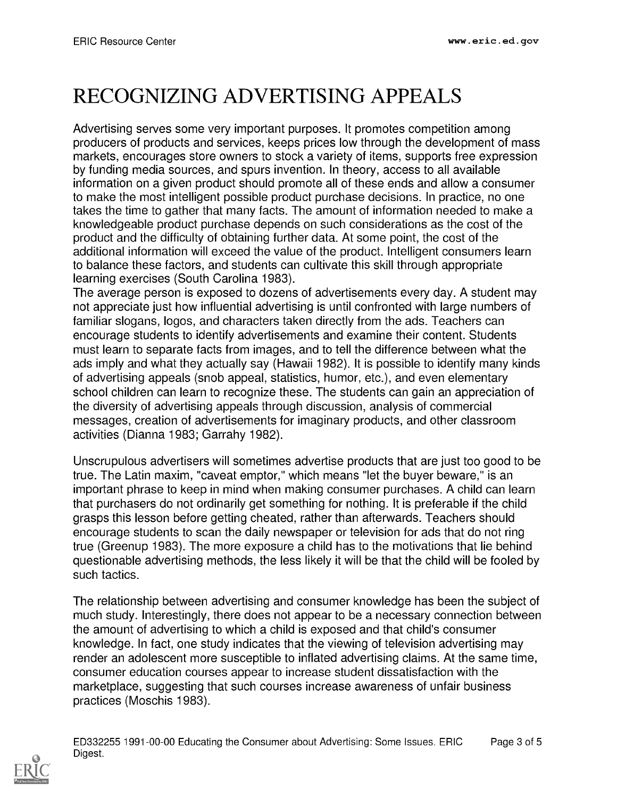## RECOGNIZING ADVERTISING APPEALS

Advertising serves some very important purposes. It promotes competition among producers of products and services, keeps prices low through the development of mass markets, encourages store owners to stock a variety of items, supports free expression by funding media sources, and spurs invention. In theory, access to all available information on a given product should promote all of these ends and allow a consumer to make the most intelligent possible product purchase decisions. In practice, no one takes the time to gather that many facts. The amount of information needed to make a knowledgeable product purchase depends on such considerations as the cost of the product and the difficulty of obtaining further data. At some point, the cost of the additional information will exceed the value of the product. Intelligent consumers learn to balance these factors, and students can cultivate this skill through appropriate learning exercises (South Carolina 1983).

The average person is exposed to dozens of advertisements every day. A student may not appreciate just how influential advertising is until confronted with large numbers of familiar slogans, logos, and characters taken directly from the ads. Teachers can encourage students to identify advertisements and examine their content. Students must learn to separate facts from images, and to tell the difference between what the ads imply and what they actually say (Hawaii 1982). It is possible to identify many kinds of advertising appeals (snob appeal, statistics, humor, etc.), and even elementary school children can learn to recognize these. The students can gain an appreciation of the diversity of advertising appeals through discussion, analysis of commercial messages, creation of advertisements for imaginary products, and other classroom activities (Dianna 1983; Garrahy 1982).

Unscrupulous advertisers will sometimes advertise products that are just too good to be true. The Latin maxim, "caveat emptor," which means "let the buyer beware," is an important phrase to keep in mind when making consumer purchases. A child can learn that purchasers do not ordinarily get something for nothing. It is preferable if the child grasps this lesson before getting cheated, rather than afterwards. Teachers should encourage students to scan the daily newspaper or television for ads that do not ring true (Greenup 1983). The more exposure a child has to the motivations that lie behind questionable advertising methods, the less likely it will be that the child will be fooled by such tactics.

The relationship between advertising and consumer knowledge has been the subject of much study. Interestingly, there does not appear to be a necessary connection between the amount of advertising to which a child is exposed and that child's consumer knowledge. In fact, one study indicates that the viewing of television advertising may render an adolescent more susceptible to inflated advertising claims. At the same time, consumer education courses appear to increase student dissatisfaction with the marketplace, suggesting that such courses increase awareness of unfair business practices (Moschis 1983).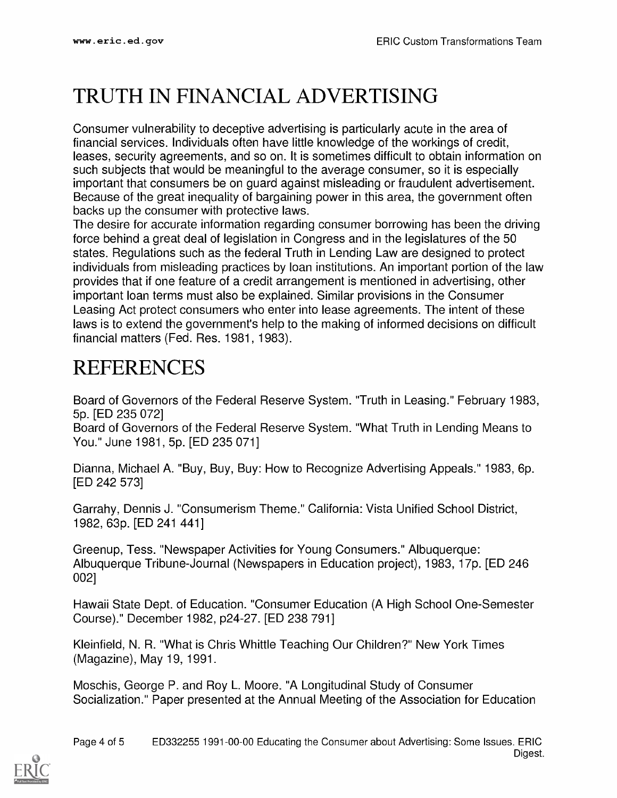### TRUTH IN FINANCIAL ADVERTISING

Consumer vulnerability to deceptive advertising is particularly acute in the area of financial services. Individuals often have little knowledge of the workings of credit, leases, security agreements, and so on. It is sometimes difficult to obtain information on such subjects that would be meaningful to the average consumer, so it is especially important that consumers be on guard against misleading or fraudulent advertisement. Because of the great inequality of bargaining power in this area, the government often backs up the consumer with protective laws.

The desire for accurate information regarding consumer borrowing has been the driving force behind a great deal of legislation in Congress and in the legislatures of the 50 states. Regulations such as the federal Truth in Lending Law are designed to protect individuals from misleading practices by loan institutions. An important portion of the law provides that if one feature of a credit arrangement is mentioned in advertising, other important loan terms must also be explained. Similar provisions in the Consumer Leasing Act protect consumers who enter into lease agreements. The intent of these laws is to extend the government's help to the making of informed decisions on difficult financial matters (Fed. Res. 1981, 1983).

#### REFERENCES

Board of Governors of the Federal Reserve System. "Truth in Leasing." February 1983, 5p. [ED 235 072]

Board of Governors of the Federal Reserve System. "What Truth in Lending Means to You." June 1981, 5p. [ED 235 0711

Dianna, Michael A. "Buy, Buy, Buy: How to Recognize Advertising Appeals." 1983, 6p. [ED 242 573]

Garrahy, Dennis J. "Consumerism Theme." California: Vista Unified School District, 1982, 63p. [ED 241 441]

Greenup, Tess. "Newspaper Activities for Young Consumers." Albuquerque: Albuquerque Tribune-Journal (Newspapers in Education project), 1983, 17p. [ED 246 002]

Hawaii State Dept. of Education. "Consumer Education (A High School One-Semester Course)." December 1982, p24-27. [ED 238 791]

Kleinfield, N. R. "What is Chris Whittle Teaching Our Children?" New York Times (Magazine), May 19, 1991.

Moschis, George P. and Roy L. Moore. "A Longitudinal Study of Consumer Socialization." Paper presented at the Annual Meeting of the Association for Education